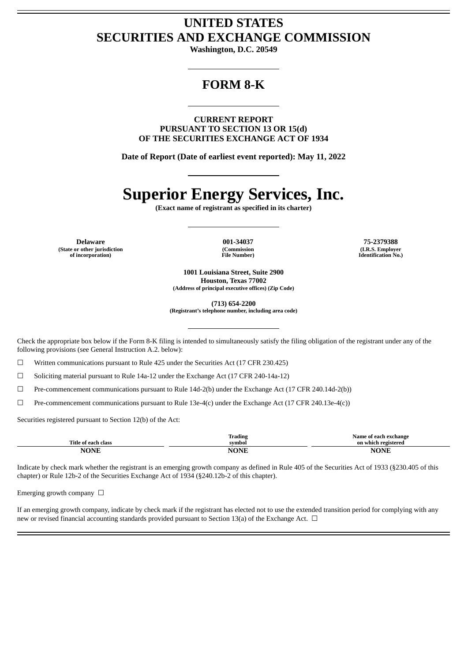## **UNITED STATES SECURITIES AND EXCHANGE COMMISSION**

**Washington, D.C. 20549**

## **FORM 8-K**

**CURRENT REPORT PURSUANT TO SECTION 13 OR 15(d) OF THE SECURITIES EXCHANGE ACT OF 1934**

**Date of Report (Date of earliest event reported): May 11, 2022**

# **Superior Energy Services, Inc.**

**(Exact name of registrant as specified in its charter)**

**Delaware 001-34037 75-2379388 (State or other jurisdiction of incorporation)**

**(Commission File Number)**

**(I.R.S. Employer Identification No.)**

**1001 Louisiana Street, Suite 2900 Houston, Texas 77002 (Address of principal executive offices) (Zip Code)**

**(713) 654-2200 (Registrant's telephone number, including area code)**

Check the appropriate box below if the Form 8-K filing is intended to simultaneously satisfy the filing obligation of the registrant under any of the

☐ Written communications pursuant to Rule 425 under the Securities Act (17 CFR 230.425)

☐ Soliciting material pursuant to Rule 14a-12 under the Exchange Act (17 CFR 240-14a-12)

☐ Pre-commencement communications pursuant to Rule 14d-2(b) under the Exchange Act (17 CFR 240.14d-2(b))

 $\Box$  Pre-commencement communications pursuant to Rule 13e-4(c) under the Exchange Act (17 CFR 240.13e-4(c))

Securities registered pursuant to Section 12(b) of the Act:

following provisions (see General Instruction A.2. below):

| Title<br>.clock<br>0.225<br>⊿ ot<br>шак | <br>frading<br>≃vmbol | ` exchange<br>same<br>n ah<br>– on v<br>ı vadistavad<br>vhict |
|-----------------------------------------|-----------------------|---------------------------------------------------------------|
| <b>NIONIT</b>                           | . IN .<br>m.          | $MD^{\circ}$<br>'N<br>. .                                     |

Indicate by check mark whether the registrant is an emerging growth company as defined in Rule 405 of the Securities Act of 1933 (§230.405 of this chapter) or Rule 12b-2 of the Securities Exchange Act of 1934 (§240.12b-2 of this chapter).

Emerging growth company  $\Box$ 

If an emerging growth company, indicate by check mark if the registrant has elected not to use the extended transition period for complying with any new or revised financial accounting standards provided pursuant to Section 13(a) of the Exchange Act.  $\Box$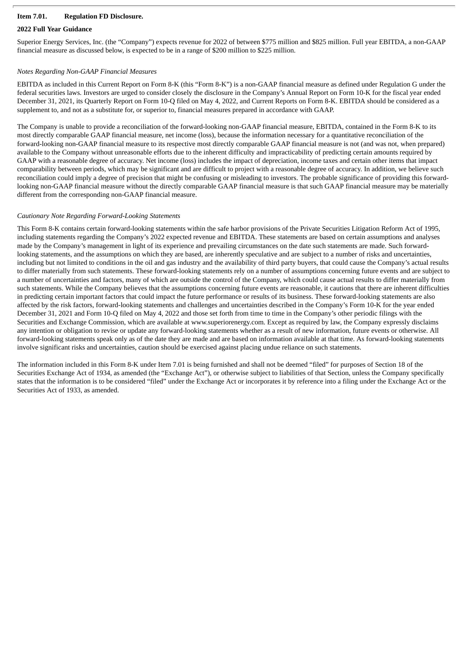#### **Item 7.01. Regulation FD Disclosure.**

#### **2022 Full Year Guidance**

Superior Energy Services, Inc. (the "Company") expects revenue for 2022 of between \$775 million and \$825 million. Full year EBITDA, a non-GAAP financial measure as discussed below, is expected to be in a range of \$200 million to \$225 million.

#### *Notes Regarding Non-GAAP Financial Measures*

EBITDA as included in this Current Report on Form 8-K (this "Form 8-K") is a non-GAAP financial measure as defined under Regulation G under the federal securities laws. Investors are urged to consider closely the disclosure in the Company's Annual Report on Form 10-K for the fiscal year ended December 31, 2021, its Quarterly Report on Form 10-Q filed on May 4, 2022, and Current Reports on Form 8-K. EBITDA should be considered as a supplement to, and not as a substitute for, or superior to, financial measures prepared in accordance with GAAP.

The Company is unable to provide a reconciliation of the forward-looking non-GAAP financial measure, EBITDA, contained in the Form 8-K to its most directly comparable GAAP financial measure, net income (loss), because the information necessary for a quantitative reconciliation of the forward-looking non-GAAP financial measure to its respective most directly comparable GAAP financial measure is not (and was not, when prepared) available to the Company without unreasonable efforts due to the inherent difficulty and impracticability of predicting certain amounts required by GAAP with a reasonable degree of accuracy. Net income (loss) includes the impact of depreciation, income taxes and certain other items that impact comparability between periods, which may be significant and are difficult to project with a reasonable degree of accuracy. In addition, we believe such reconciliation could imply a degree of precision that might be confusing or misleading to investors. The probable significance of providing this forwardlooking non-GAAP financial measure without the directly comparable GAAP financial measure is that such GAAP financial measure may be materially different from the corresponding non-GAAP financial measure.

#### *Cautionary Note Regarding Forward-Looking Statements*

This Form 8-K contains certain forward-looking statements within the safe harbor provisions of the Private Securities Litigation Reform Act of 1995, including statements regarding the Company's 2022 expected revenue and EBITDA. These statements are based on certain assumptions and analyses made by the Company's management in light of its experience and prevailing circumstances on the date such statements are made. Such forwardlooking statements, and the assumptions on which they are based, are inherently speculative and are subject to a number of risks and uncertainties, including but not limited to conditions in the oil and gas industry and the availability of third party buyers, that could cause the Company's actual results to differ materially from such statements. These forward-looking statements rely on a number of assumptions concerning future events and are subject to a number of uncertainties and factors, many of which are outside the control of the Company, which could cause actual results to differ materially from such statements. While the Company believes that the assumptions concerning future events are reasonable, it cautions that there are inherent difficulties in predicting certain important factors that could impact the future performance or results of its business. These forward-looking statements are also affected by the risk factors, forward-looking statements and challenges and uncertainties described in the Company's Form 10-K for the year ended December 31, 2021 and Form 10-Q filed on May 4, 2022 and those set forth from time to time in the Company's other periodic filings with the Securities and Exchange Commission, which are available at www.superiorenergy.com. Except as required by law, the Company expressly disclaims any intention or obligation to revise or update any forward-looking statements whether as a result of new information, future events or otherwise. All forward-looking statements speak only as of the date they are made and are based on information available at that time. As forward-looking statements involve significant risks and uncertainties, caution should be exercised against placing undue reliance on such statements.

The information included in this Form 8-K under Item 7.01 is being furnished and shall not be deemed "filed" for purposes of Section 18 of the Securities Exchange Act of 1934, as amended (the "Exchange Act"), or otherwise subject to liabilities of that Section, unless the Company specifically states that the information is to be considered "filed" under the Exchange Act or incorporates it by reference into a filing under the Exchange Act or the Securities Act of 1933, as amended.